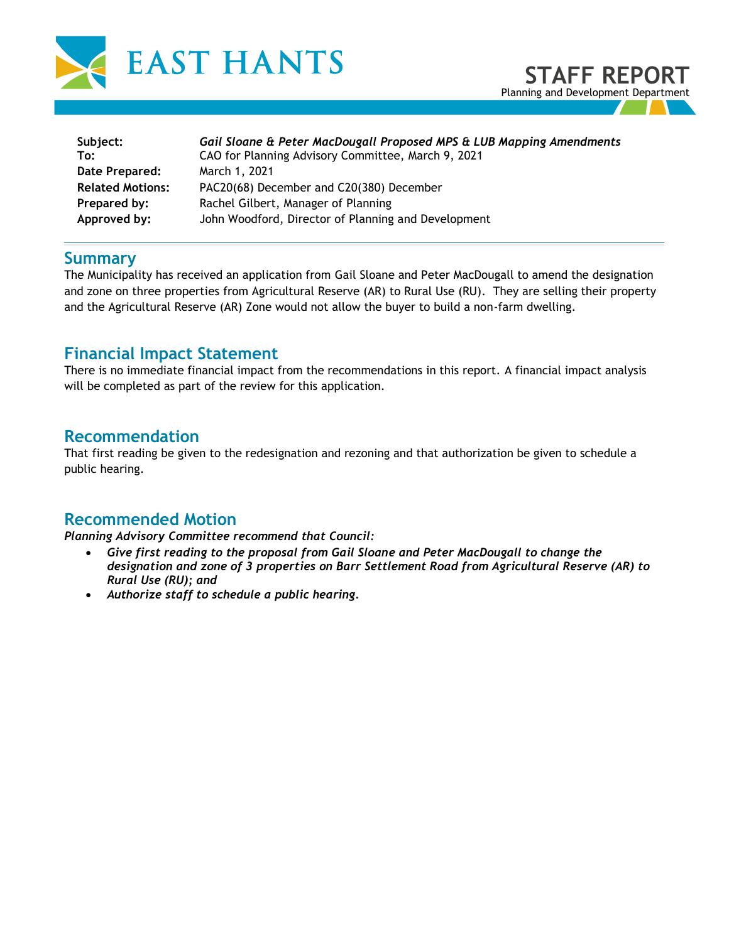



| Subject:                | Gail Sloane & Peter MacDougall Proposed MPS & LUB Mapping Amendments |
|-------------------------|----------------------------------------------------------------------|
| To:                     | CAO for Planning Advisory Committee, March 9, 2021                   |
| Date Prepared:          | March 1, 2021                                                        |
| <b>Related Motions:</b> | PAC20(68) December and C20(380) December                             |
| Prepared by:            | Rachel Gilbert, Manager of Planning                                  |
| Approved by:            | John Woodford, Director of Planning and Development                  |

#### **Summary**

The Municipality has received an application from Gail Sloane and Peter MacDougall to amend the designation and zone on three properties from Agricultural Reserve (AR) to Rural Use (RU). They are selling their property and the Agricultural Reserve (AR) Zone would not allow the buyer to build a non-farm dwelling.

## **Financial Impact Statement**

There is no immediate financial impact from the recommendations in this report. A financial impact analysis will be completed as part of the review for this application.

### **Recommendation**

That first reading be given to the redesignation and rezoning and that authorization be given to schedule a public hearing.

## **Recommended Motion**

*Planning Advisory Committee recommend that Council:* 

- *Give first reading to the proposal from Gail Sloane and Peter MacDougall to change the designation and zone of 3 properties on Barr Settlement Road from Agricultural Reserve (AR) to Rural Use (RU); and*
- *Authorize staff to schedule a public hearing.*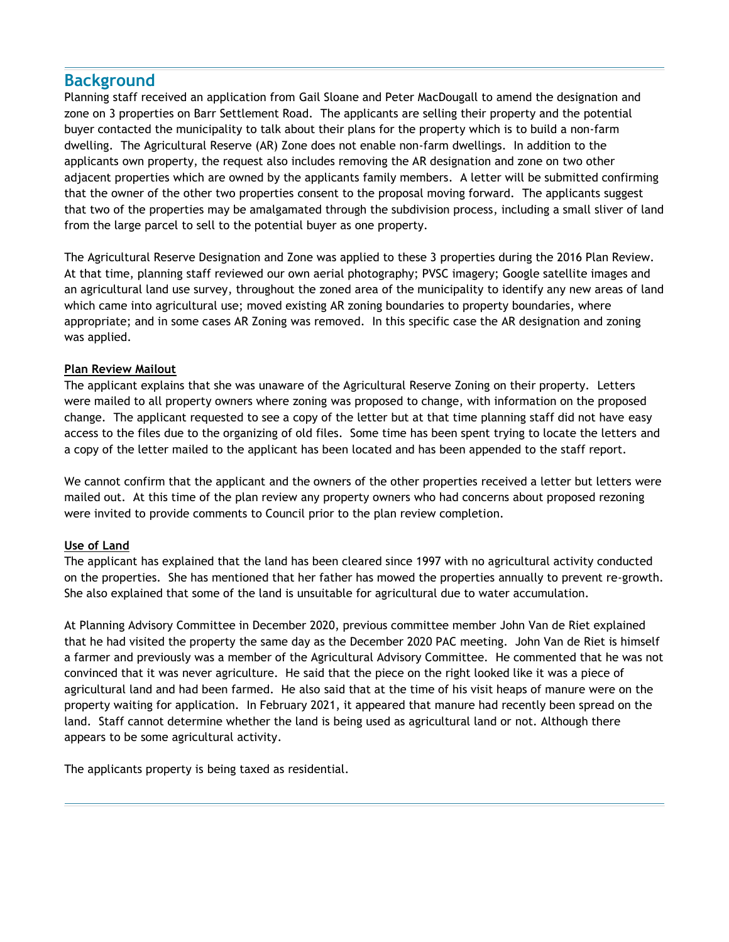## **Background**

Planning staff received an application from Gail Sloane and Peter MacDougall to amend the designation and zone on 3 properties on Barr Settlement Road. The applicants are selling their property and the potential buyer contacted the municipality to talk about their plans for the property which is to build a non-farm dwelling. The Agricultural Reserve (AR) Zone does not enable non-farm dwellings. In addition to the applicants own property, the request also includes removing the AR designation and zone on two other adjacent properties which are owned by the applicants family members. A letter will be submitted confirming that the owner of the other two properties consent to the proposal moving forward. The applicants suggest that two of the properties may be amalgamated through the subdivision process, including a small sliver of land from the large parcel to sell to the potential buyer as one property.

The Agricultural Reserve Designation and Zone was applied to these 3 properties during the 2016 Plan Review. At that time, planning staff reviewed our own aerial photography; PVSC imagery; Google satellite images and an agricultural land use survey, throughout the zoned area of the municipality to identify any new areas of land which came into agricultural use; moved existing AR zoning boundaries to property boundaries, where appropriate; and in some cases AR Zoning was removed. In this specific case the AR designation and zoning was applied.

#### **Plan Review Mailout**

The applicant explains that she was unaware of the Agricultural Reserve Zoning on their property. Letters were mailed to all property owners where zoning was proposed to change, with information on the proposed change. The applicant requested to see a copy of the letter but at that time planning staff did not have easy access to the files due to the organizing of old files. Some time has been spent trying to locate the letters and a copy of the letter mailed to the applicant has been located and has been appended to the staff report.

We cannot confirm that the applicant and the owners of the other properties received a letter but letters were mailed out. At this time of the plan review any property owners who had concerns about proposed rezoning were invited to provide comments to Council prior to the plan review completion.

#### **Use of Land**

The applicant has explained that the land has been cleared since 1997 with no agricultural activity conducted on the properties. She has mentioned that her father has mowed the properties annually to prevent re-growth. She also explained that some of the land is unsuitable for agricultural due to water accumulation.

At Planning Advisory Committee in December 2020, previous committee member John Van de Riet explained that he had visited the property the same day as the December 2020 PAC meeting. John Van de Riet is himself a farmer and previously was a member of the Agricultural Advisory Committee. He commented that he was not convinced that it was never agriculture. He said that the piece on the right looked like it was a piece of agricultural land and had been farmed. He also said that at the time of his visit heaps of manure were on the property waiting for application. In February 2021, it appeared that manure had recently been spread on the land. Staff cannot determine whether the land is being used as agricultural land or not. Although there appears to be some agricultural activity.

The applicants property is being taxed as residential.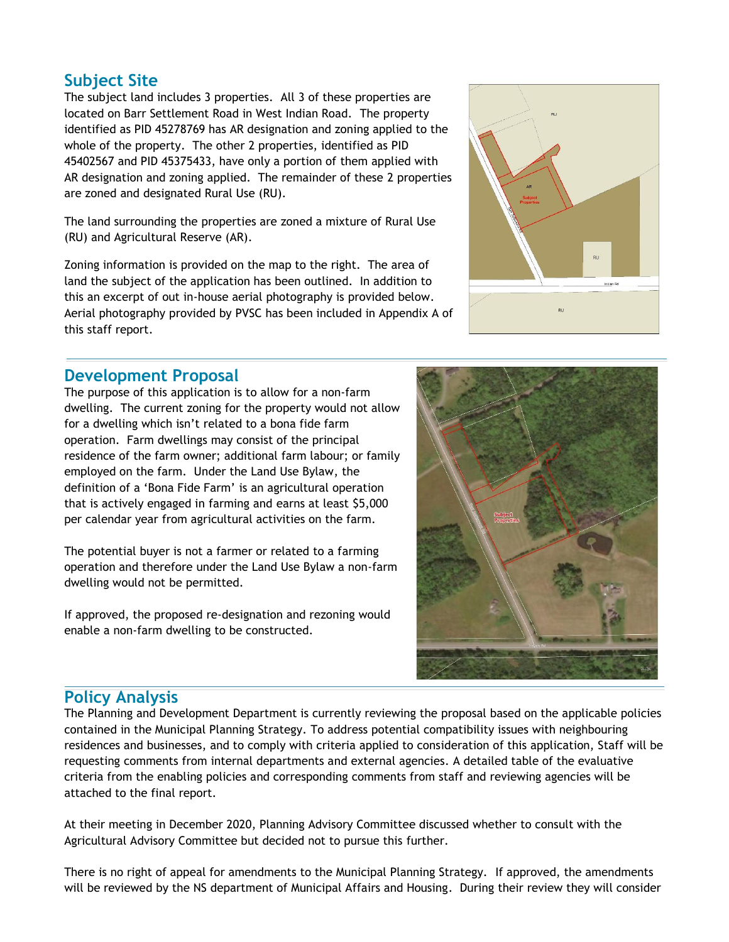## **Subject Site**

The subject land includes 3 properties. All 3 of these properties are located on Barr Settlement Road in West Indian Road. The property identified as PID 45278769 has AR designation and zoning applied to the whole of the property. The other 2 properties, identified as PID 45402567 and PID 45375433, have only a portion of them applied with AR designation and zoning applied. The remainder of these 2 properties are zoned and designated Rural Use (RU).

The land surrounding the properties are zoned a mixture of Rural Use (RU) and Agricultural Reserve (AR).

Zoning information is provided on the map to the right. The area of land the subject of the application has been outlined. In addition to this an excerpt of out in-house aerial photography is provided below. Aerial photography provided by PVSC has been included in Appendix A of this staff report.



### **Development Proposal**

The purpose of this application is to allow for a non-farm dwelling. The current zoning for the property would not allow for a dwelling which isn't related to a bona fide farm operation. Farm dwellings may consist of the principal residence of the farm owner; additional farm labour; or family employed on the farm. Under the Land Use Bylaw, the definition of a 'Bona Fide Farm' is an agricultural operation that is actively engaged in farming and earns at least \$5,000 per calendar year from agricultural activities on the farm.

The potential buyer is not a farmer or related to a farming operation and therefore under the Land Use Bylaw a non-farm dwelling would not be permitted.

If approved, the proposed re-designation and rezoning would enable a non-farm dwelling to be constructed.



## **Policy Analysis**

The Planning and Development Department is currently reviewing the proposal based on the applicable policies contained in the Municipal Planning Strategy. To address potential compatibility issues with neighbouring residences and businesses, and to comply with criteria applied to consideration of this application, Staff will be requesting comments from internal departments and external agencies. A detailed table of the evaluative criteria from the enabling policies and corresponding comments from staff and reviewing agencies will be attached to the final report.

At their meeting in December 2020, Planning Advisory Committee discussed whether to consult with the Agricultural Advisory Committee but decided not to pursue this further.

There is no right of appeal for amendments to the Municipal Planning Strategy. If approved, the amendments will be reviewed by the NS department of Municipal Affairs and Housing. During their review they will consider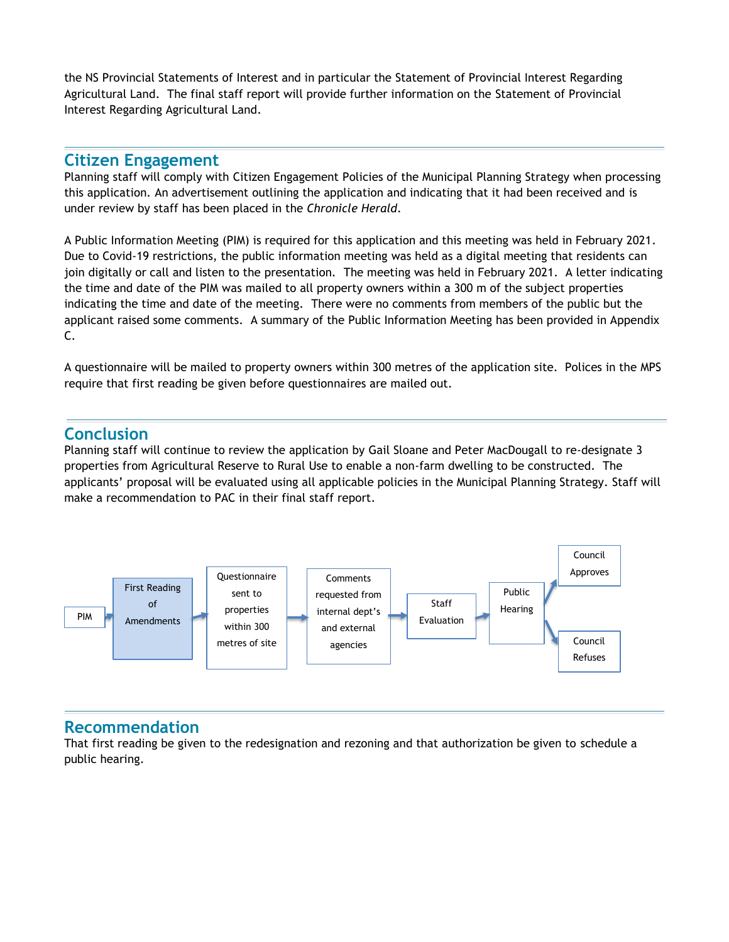the NS Provincial Statements of Interest and in particular the Statement of Provincial Interest Regarding Agricultural Land. The final staff report will provide further information on the Statement of Provincial Interest Regarding Agricultural Land.

#### **Citizen Engagement**

Planning staff will comply with Citizen Engagement Policies of the Municipal Planning Strategy when processing this application. An advertisement outlining the application and indicating that it had been received and is under review by staff has been placed in the *Chronicle Herald*.

A Public Information Meeting (PIM) is required for this application and this meeting was held in February 2021. Due to Covid-19 restrictions, the public information meeting was held as a digital meeting that residents can join digitally or call and listen to the presentation. The meeting was held in February 2021. A letter indicating the time and date of the PIM was mailed to all property owners within a 300 m of the subject properties indicating the time and date of the meeting. There were no comments from members of the public but the applicant raised some comments. A summary of the Public Information Meeting has been provided in Appendix C.

A questionnaire will be mailed to property owners within 300 metres of the application site. Polices in the MPS require that first reading be given before questionnaires are mailed out.

## **Conclusion**

Planning staff will continue to review the application by Gail Sloane and Peter MacDougall to re-designate 3 properties from Agricultural Reserve to Rural Use to enable a non-farm dwelling to be constructed. The applicants' proposal will be evaluated using all applicable policies in the Municipal Planning Strategy. Staff will make a recommendation to PAC in their final staff report.



#### **Recommendation**

That first reading be given to the redesignation and rezoning and that authorization be given to schedule a public hearing.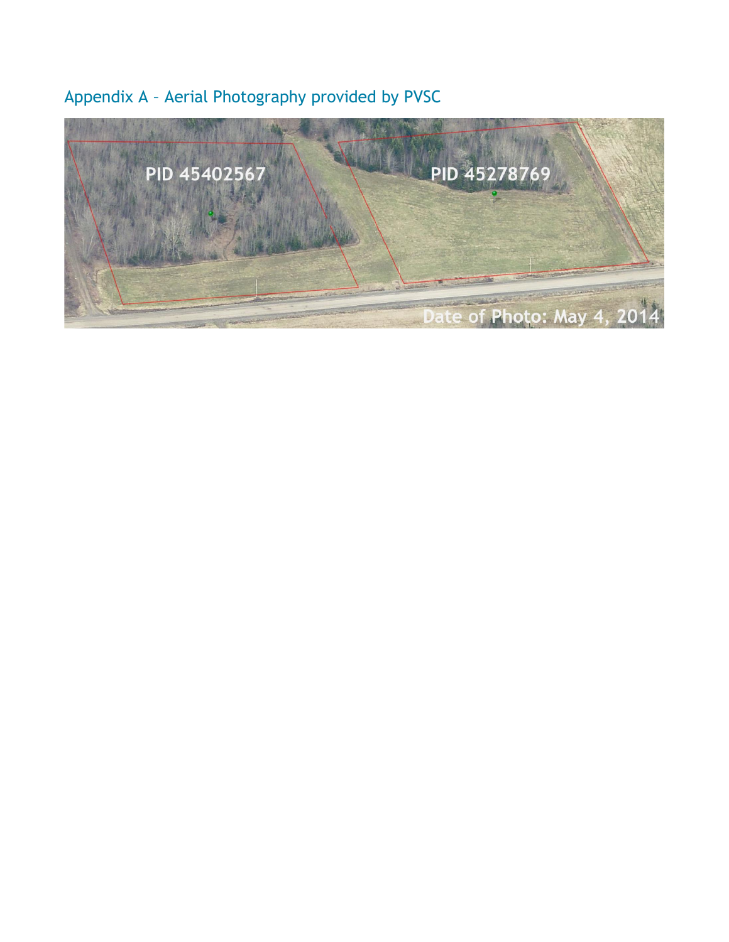# Appendix A – Aerial Photography provided by PVSC

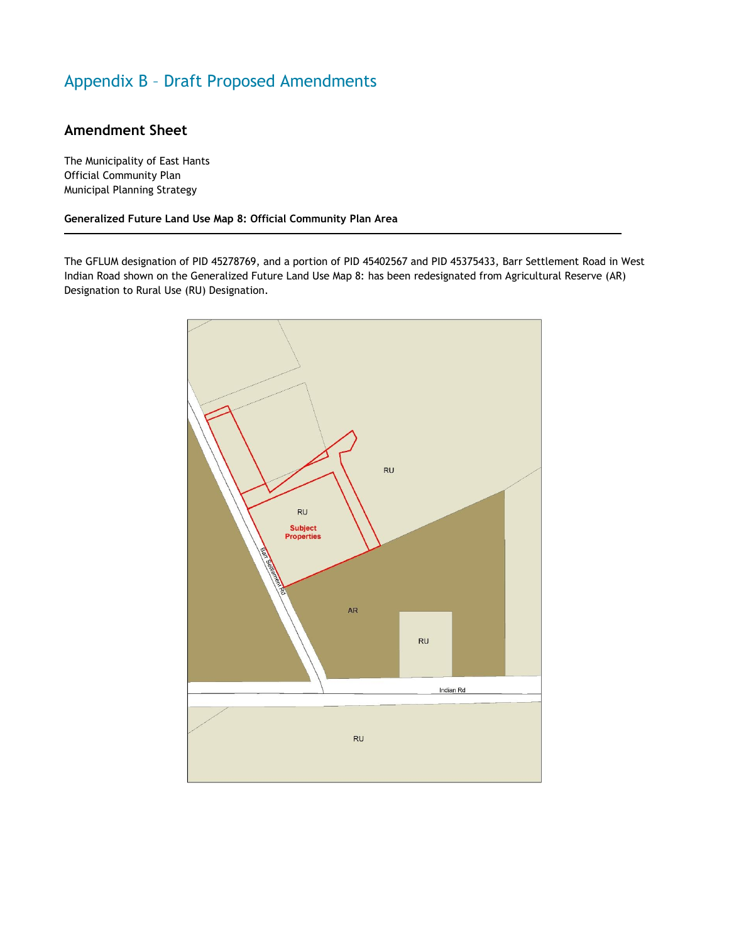## Appendix B – Draft Proposed Amendments

#### **Amendment Sheet**

The Municipality of East Hants Official Community Plan Municipal Planning Strategy

**Generalized Future Land Use Map 8: Official Community Plan Area**

The GFLUM designation of PID 45278769, and a portion of PID 45402567 and PID 45375433, Barr Settlement Road in West Indian Road shown on the Generalized Future Land Use Map 8: has been redesignated from Agricultural Reserve (AR) Designation to Rural Use (RU) Designation.

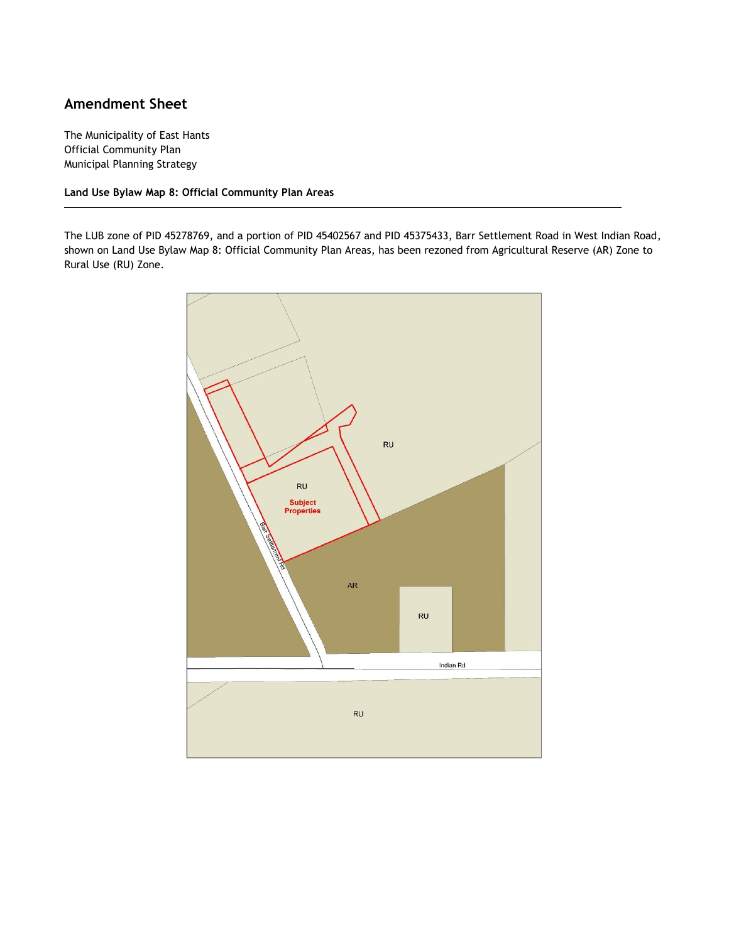#### **Amendment Sheet**

The Municipality of East Hants Official Community Plan Municipal Planning Strategy

**Land Use Bylaw Map 8: Official Community Plan Areas**

The LUB zone of PID 45278769, and a portion of PID 45402567 and PID 45375433, Barr Settlement Road in West Indian Road, shown on Land Use Bylaw Map 8: Official Community Plan Areas, has been rezoned from Agricultural Reserve (AR) Zone to Rural Use (RU) Zone.

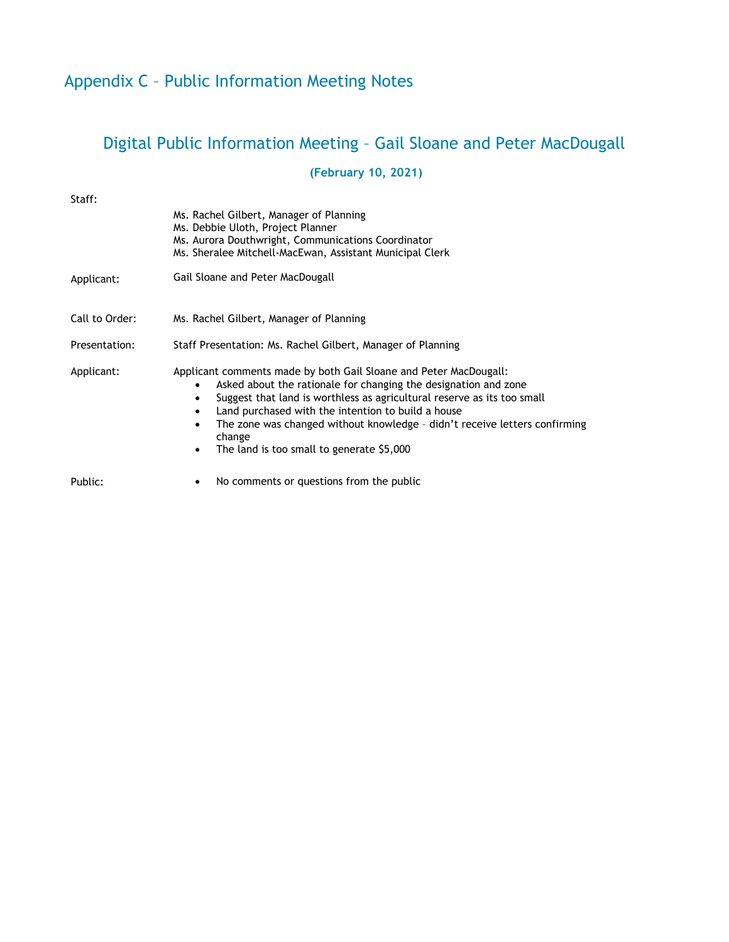## Digital Public Information Meeting – Gail Sloane and Peter MacDougall

## **(February 10, 2021)**

| Staff:         |                                                                                                                                                                                                                                                                                                                                                                                                            |
|----------------|------------------------------------------------------------------------------------------------------------------------------------------------------------------------------------------------------------------------------------------------------------------------------------------------------------------------------------------------------------------------------------------------------------|
|                | Ms. Rachel Gilbert, Manager of Planning<br>Ms. Debbie Uloth, Project Planner<br>Ms. Aurora Douthwright, Communications Coordinator<br>Ms. Sheralee Mitchell-MacEwan, Assistant Municipal Clerk                                                                                                                                                                                                             |
| Applicant:     | Gail Sloane and Peter MacDougall                                                                                                                                                                                                                                                                                                                                                                           |
| Call to Order: | Ms. Rachel Gilbert, Manager of Planning                                                                                                                                                                                                                                                                                                                                                                    |
| Presentation:  | Staff Presentation: Ms. Rachel Gilbert, Manager of Planning                                                                                                                                                                                                                                                                                                                                                |
| Applicant:     | Applicant comments made by both Gail Sloane and Peter MacDougall:<br>Asked about the rationale for changing the designation and zone<br>Suggest that land is worthless as agricultural reserve as its too small<br>Land purchased with the intention to build a house<br>The zone was changed without knowledge - didn't receive letters confirming<br>change<br>The land is too small to generate \$5,000 |
| Public:        | No comments or questions from the public                                                                                                                                                                                                                                                                                                                                                                   |